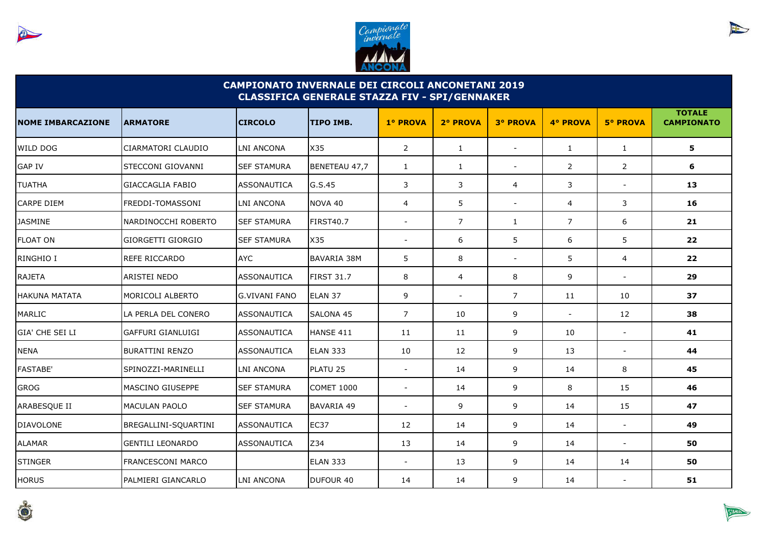



| <b>CAMPIONATO INVERNALE DEI CIRCOLI ANCONETANI 2019</b><br><b>CLASSIFICA GENERALE STAZZA FIV - SPI/GENNAKER</b> |                          |                      |                   |                          |                          |                          |                |                          |                                    |  |
|-----------------------------------------------------------------------------------------------------------------|--------------------------|----------------------|-------------------|--------------------------|--------------------------|--------------------------|----------------|--------------------------|------------------------------------|--|
| <b>NOME IMBARCAZIONE</b>                                                                                        | <b>ARMATORE</b>          | <b>CIRCOLO</b>       | <b>TIPO IMB.</b>  | 1º PROVA                 | 2° PROVA                 | <b>3º PROVA</b>          | 4° PROVA       | <b>5° PROVA</b>          | <b>TOTALE</b><br><b>CAMPIONATO</b> |  |
| WILD DOG                                                                                                        | CIARMATORI CLAUDIO       | LNI ANCONA           | X35               | 2                        | $\mathbf{1}$             |                          | $\mathbf{1}$   | $\mathbf{1}$             | 5                                  |  |
| <b>GAP IV</b>                                                                                                   | STECCONI GIOVANNI        | <b>SEF STAMURA</b>   | BENETEAU 47,7     | $\mathbf{1}$             | $\mathbf{1}$             | $\blacksquare$           | 2              | 2                        | 6                                  |  |
| <b>TUATHA</b>                                                                                                   | <b>GIACCAGLIA FABIO</b>  | <b>ASSONAUTICA</b>   | G.S.45            | 3                        | 3                        | 4                        | 3              | $\blacksquare$           | 13                                 |  |
| CARPE DIEM                                                                                                      | <b>FREDDI-TOMASSONI</b>  | LNI ANCONA           | NOVA 40           | $\overline{4}$           | 5                        | $\overline{\phantom{a}}$ | $\overline{4}$ | 3                        | 16                                 |  |
| <b>JASMINE</b>                                                                                                  | NARDINOCCHI ROBERTO      | <b>SEF STAMURA</b>   | <b>FIRST40.7</b>  | $\blacksquare$           | 7                        | $\mathbf{1}$             | $\overline{7}$ | 6                        | 21                                 |  |
| <b>FLOAT ON</b>                                                                                                 | GIORGETTI GIORGIO        | <b>SEF STAMURA</b>   | X35               | $\overline{\phantom{a}}$ | 6                        | 5                        | 6              | 5                        | 22                                 |  |
| RINGHIO I                                                                                                       | <b>REFE RICCARDO</b>     | <b>AYC</b>           | BAVARIA 38M       | 5                        | 8                        | $\overline{\phantom{a}}$ | 5              | $\overline{4}$           | 22                                 |  |
| <b>RAJETA</b>                                                                                                   | <b>ARISTEI NEDO</b>      | <b>ASSONAUTICA</b>   | <b>FIRST 31.7</b> | 8                        | 4                        | 8                        | 9              | $\overline{a}$           | 29                                 |  |
| <b>HAKUNA MATATA</b>                                                                                            | MORICOLI ALBERTO         | <b>G.VIVANI FANO</b> | ELAN 37           | 9                        | $\overline{\phantom{a}}$ | $\overline{7}$           | 11             | 10                       | 37                                 |  |
| MARLIC                                                                                                          | LA PERLA DEL CONERO      | <b>ASSONAUTICA</b>   | <b>SALONA 45</b>  | $\overline{7}$           | 10                       | 9                        | $\sim$         | 12                       | 38                                 |  |
| GIA' CHE SEI LI                                                                                                 | <b>GAFFURI GIANLUIGI</b> | ASSONAUTICA          | HANSE 411         | 11                       | 11                       | 9                        | 10             | $\sim$                   | 41                                 |  |
| <b>NENA</b>                                                                                                     | <b>BURATTINI RENZO</b>   | <b>ASSONAUTICA</b>   | <b>ELAN 333</b>   | 10                       | 12                       | 9                        | 13             | $\sim$                   | 44                                 |  |
| <b>FASTABE'</b>                                                                                                 | SPINOZZI-MARINELLI       | <b>LNI ANCONA</b>    | PLATU 25          | $\blacksquare$           | 14                       | 9                        | 14             | 8                        | 45                                 |  |
| <b>GROG</b>                                                                                                     | IMASCINO GIUSEPPE        | <b>SEF STAMURA</b>   | <b>COMET 1000</b> | $\overline{\phantom{a}}$ | 14                       | 9                        | 8              | 15                       | 46                                 |  |
| ARABESQUE II                                                                                                    | <b>MACULAN PAOLO</b>     | <b>SEF STAMURA</b>   | <b>BAVARIA 49</b> | $\blacksquare$           | 9                        | 9                        | 14             | 15                       | 47                                 |  |
| DIAVOLONE                                                                                                       | BREGALLINI-SQUARTINI     | <b>ASSONAUTICA</b>   | <b>EC37</b>       | 12                       | 14                       | 9                        | 14             | $\overline{\phantom{a}}$ | 49                                 |  |
| <b>ALAMAR</b>                                                                                                   | <b>GENTILI LEONARDO</b>  | <b>ASSONAUTICA</b>   | Z34               | 13                       | 14                       | 9                        | 14             | $\sim$                   | 50                                 |  |
| <b>STINGER</b>                                                                                                  | <b>FRANCESCONI MARCO</b> |                      | <b>ELAN 333</b>   |                          | 13                       | 9                        | 14             | 14                       | 50                                 |  |
| <b>HORUS</b>                                                                                                    | PALMIERI GIANCARLO       | <b>LNI ANCONA</b>    | DUFOUR 40         | 14                       | 14                       | 9                        | 14             | $\sim$                   | 51                                 |  |